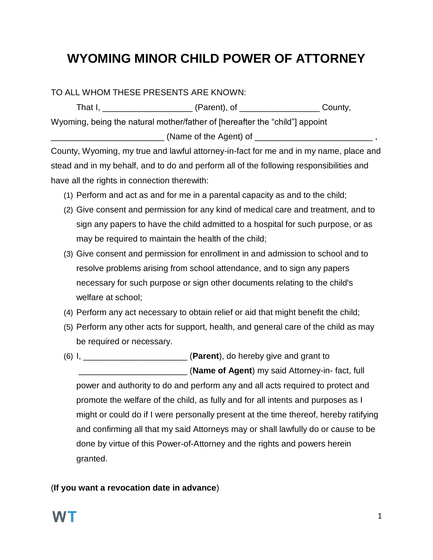## **WYOMING MINOR CHILD POWER OF ATTORNEY**

TO ALL WHOM THESE PRESENTS ARE KNOWN:

| That I,                                                                     | (Parent), of | County, |  |  |
|-----------------------------------------------------------------------------|--------------|---------|--|--|
| Wyoming, being the natural mother/father of [hereafter the "child"] appoint |              |         |  |  |
| (Name of the Agent) of                                                      |              |         |  |  |

County, Wyoming, my true and lawful attorney-in-fact for me and in my name, place and stead and in my behalf, and to do and perform all of the following responsibilities and have all the rights in connection therewith:

- (1) Perform and act as and for me in a parental capacity as and to the child;
- (2) Give consent and permission for any kind of medical care and treatment, and to sign any papers to have the child admitted to a hospital for such purpose, or as may be required to maintain the health of the child;
- (3) Give consent and permission for enrollment in and admission to school and to resolve problems arising from school attendance, and to sign any papers necessary for such purpose or sign other documents relating to the child's welfare at school;
- (4) Perform any act necessary to obtain relief or aid that might benefit the child;
- (5) Perform any other acts for support, health, and general care of the child as may be required or necessary.
- (6) I, \_\_\_\_\_\_\_\_\_\_\_\_\_\_\_\_\_\_\_\_\_\_ (**Parent**), do hereby give and grant to \_\_\_\_\_\_\_\_\_\_\_\_\_\_\_\_\_\_\_\_\_\_\_ (**Name of Agent**) my said Attorney-in- fact, full power and authority to do and perform any and all acts required to protect and promote the welfare of the child, as fully and for all intents and purposes as I might or could do if I were personally present at the time thereof, hereby ratifying and confirming all that my said Attorneys may or shall lawfully do or cause to be done by virtue of this Power-of-Attorney and the rights and powers herein granted.

## (**If you want a revocation date in advance**)